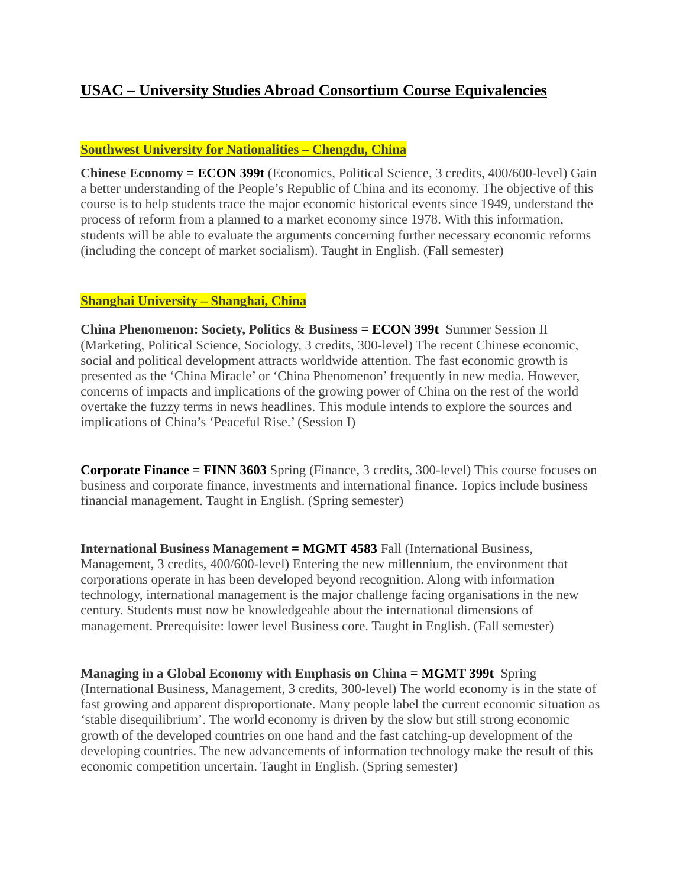# **USAC – University Studies Abroad Consortium Course Equivalencies**

### **Southwest University for Nationalities – Chengdu, China**

**Chinese Economy = ECON 399t** (Economics, Political Science, 3 credits, 400/600-level) Gain a better understanding of the People's Republic of China and its economy. The objective of this course is to help students trace the major economic historical events since 1949, understand the process of reform from a planned to a market economy since 1978. With this information, students will be able to evaluate the arguments concerning further necessary economic reforms (including the concept of market socialism). Taught in English. (Fall semester)

# **Shanghai University – Shanghai, China**

**China Phenomenon: Society, Politics & Business = ECON 399t** Summer Session II (Marketing, Political Science, Sociology, 3 credits, 300-level) The recent Chinese economic, social and political development attracts worldwide attention. The fast economic growth is presented as the 'China Miracle' or 'China Phenomenon' frequently in new media. However, concerns of impacts and implications of the growing power of China on the rest of the world overtake the fuzzy terms in news headlines. This module intends to explore the sources and implications of China's 'Peaceful Rise.' (Session I)

**Corporate Finance = FINN 3603** Spring (Finance, 3 credits, 300-level) This course focuses on business and corporate finance, investments and international finance. Topics include business financial management. Taught in English. (Spring semester)

**International Business Management = MGMT 4583** Fall (International Business, Management, 3 credits, 400/600-level) Entering the new millennium, the environment that corporations operate in has been developed beyond recognition. Along with information technology, international management is the major challenge facing organisations in the new century. Students must now be knowledgeable about the international dimensions of management. Prerequisite: lower level Business core. Taught in English. (Fall semester)

**Managing in a Global Economy with Emphasis on China = MGMT 399t** Spring (International Business, Management, 3 credits, 300-level) The world economy is in the state of fast growing and apparent disproportionate. Many people label the current economic situation as 'stable disequilibrium'. The world economy is driven by the slow but still strong economic growth of the developed countries on one hand and the fast catching-up development of the developing countries. The new advancements of information technology make the result of this economic competition uncertain. Taught in English. (Spring semester)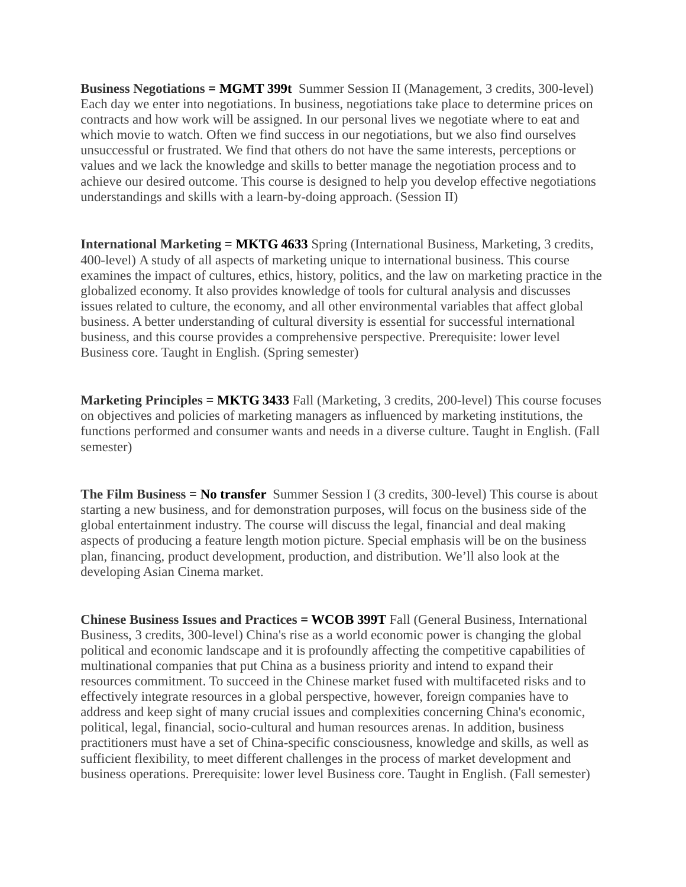**Business Negotiations = MGMT 399t** Summer Session II (Management, 3 credits, 300-level) Each day we enter into negotiations. In business, negotiations take place to determine prices on contracts and how work will be assigned. In our personal lives we negotiate where to eat and which movie to watch. Often we find success in our negotiations, but we also find ourselves unsuccessful or frustrated. We find that others do not have the same interests, perceptions or values and we lack the knowledge and skills to better manage the negotiation process and to achieve our desired outcome. This course is designed to help you develop effective negotiations understandings and skills with a learn-by-doing approach. (Session II)

**International Marketing = MKTG 4633** Spring (International Business, Marketing, 3 credits, 400-level) A study of all aspects of marketing unique to international business. This course examines the impact of cultures, ethics, history, politics, and the law on marketing practice in the globalized economy. It also provides knowledge of tools for cultural analysis and discusses issues related to culture, the economy, and all other environmental variables that affect global business. A better understanding of cultural diversity is essential for successful international business, and this course provides a comprehensive perspective. Prerequisite: lower level Business core. Taught in English. (Spring semester)

**Marketing Principles = MKTG 3433** Fall (Marketing, 3 credits, 200-level) This course focuses on objectives and policies of marketing managers as influenced by marketing institutions, the functions performed and consumer wants and needs in a diverse culture. Taught in English. (Fall semester)

**The Film Business = No transfer** Summer Session I (3 credits, 300-level) This course is about starting a new business, and for demonstration purposes, will focus on the business side of the global entertainment industry. The course will discuss the legal, financial and deal making aspects of producing a feature length motion picture. Special emphasis will be on the business plan, financing, product development, production, and distribution. We'll also look at the developing Asian Cinema market.

**Chinese Business Issues and Practices = WCOB 399T** Fall (General Business, International Business, 3 credits, 300-level) China's rise as a world economic power is changing the global political and economic landscape and it is profoundly affecting the competitive capabilities of multinational companies that put China as a business priority and intend to expand their resources commitment. To succeed in the Chinese market fused with multifaceted risks and to effectively integrate resources in a global perspective, however, foreign companies have to address and keep sight of many crucial issues and complexities concerning China's economic, political, legal, financial, socio-cultural and human resources arenas. In addition, business practitioners must have a set of China-specific consciousness, knowledge and skills, as well as sufficient flexibility, to meet different challenges in the process of market development and business operations. Prerequisite: lower level Business core. Taught in English. (Fall semester)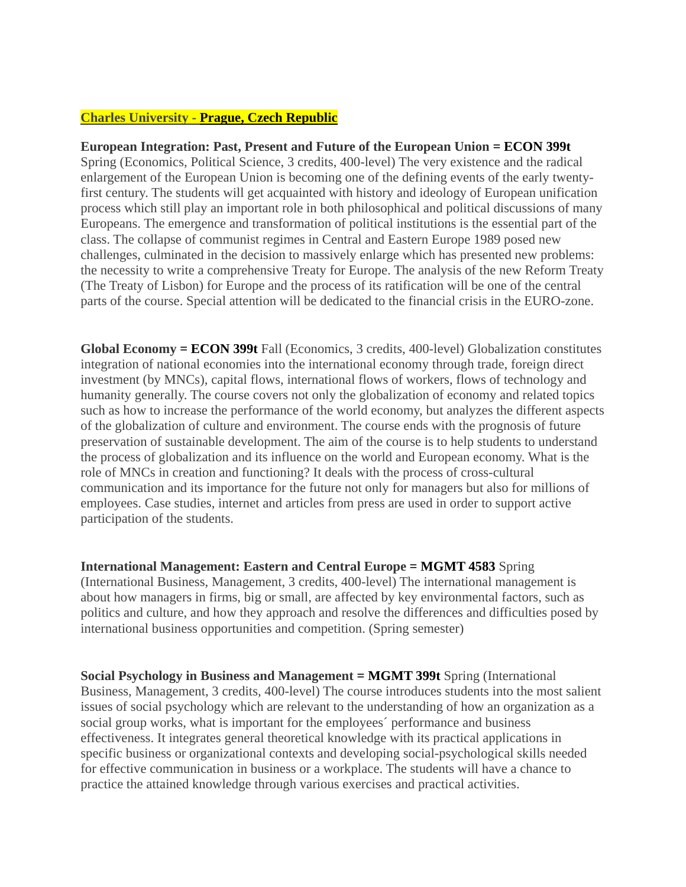### **Charles University - Prague, Czech Republic**

### **European Integration: Past, Present and Future of the European Union = ECON 399t**  Spring (Economics, Political Science, 3 credits, 400-level) The very existence and the radical enlargement of the European Union is becoming one of the defining events of the early twentyfirst century. The students will get acquainted with history and ideology of European unification process which still play an important role in both philosophical and political discussions of many Europeans. The emergence and transformation of political institutions is the essential part of the class. The collapse of communist regimes in Central and Eastern Europe 1989 posed new challenges, culminated in the decision to massively enlarge which has presented new problems: the necessity to write a comprehensive Treaty for Europe. The analysis of the new Reform Treaty (The Treaty of Lisbon) for Europe and the process of its ratification will be one of the central parts of the course. Special attention will be dedicated to the financial crisis in the EURO-zone.

**Global Economy = ECON 399t** Fall (Economics, 3 credits, 400-level) Globalization constitutes integration of national economies into the international economy through trade, foreign direct investment (by MNCs), capital flows, international flows of workers, flows of technology and humanity generally. The course covers not only the globalization of economy and related topics such as how to increase the performance of the world economy, but analyzes the different aspects of the globalization of culture and environment. The course ends with the prognosis of future preservation of sustainable development. The aim of the course is to help students to understand the process of globalization and its influence on the world and European economy. What is the role of MNCs in creation and functioning? It deals with the process of cross-cultural communication and its importance for the future not only for managers but also for millions of employees. Case studies, internet and articles from press are used in order to support active participation of the students.

**International Management: Eastern and Central Europe = MGMT 4583** Spring (International Business, Management, 3 credits, 400-level) The international management is about how managers in firms, big or small, are affected by key environmental factors, such as politics and culture, and how they approach and resolve the differences and difficulties posed by international business opportunities and competition. (Spring semester)

**Social Psychology in Business and Management = MGMT 399t** Spring (International Business, Management, 3 credits, 400-level) The course introduces students into the most salient issues of social psychology which are relevant to the understanding of how an organization as a social group works, what is important for the employees´ performance and business effectiveness. It integrates general theoretical knowledge with its practical applications in specific business or organizational contexts and developing social-psychological skills needed for effective communication in business or a workplace. The students will have a chance to practice the attained knowledge through various exercises and practical activities.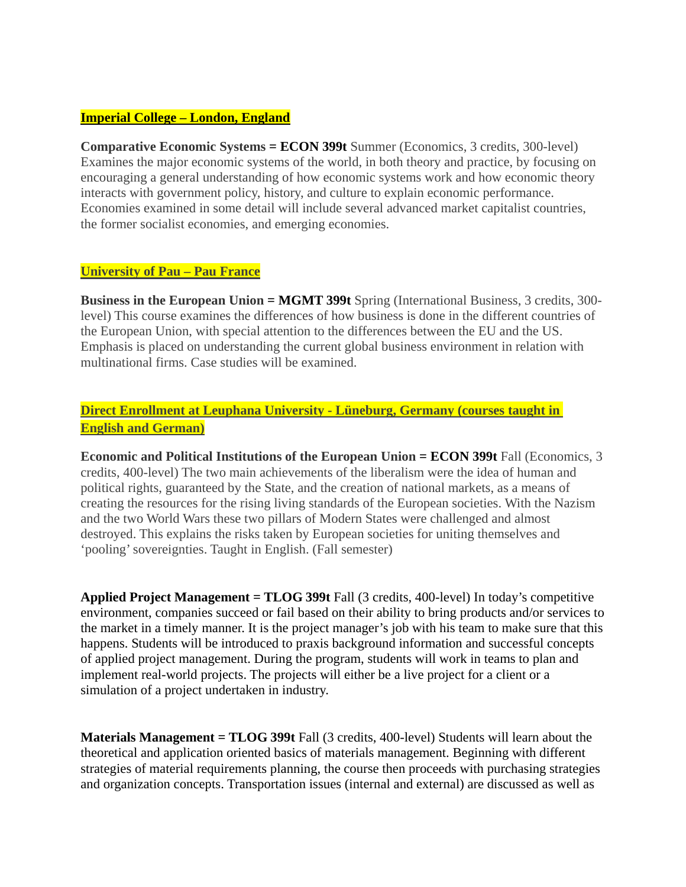### **Imperial College – London, England**

**Comparative Economic Systems = ECON 399t** Summer (Economics, 3 credits, 300-level) Examines the major economic systems of the world, in both theory and practice, by focusing on encouraging a general understanding of how economic systems work and how economic theory interacts with government policy, history, and culture to explain economic performance. Economies examined in some detail will include several advanced market capitalist countries, the former socialist economies, and emerging economies.

### **University of Pau – Pau France**

**Business in the European Union = MGMT 399t** Spring (International Business, 3 credits, 300 level) This course examines the differences of how business is done in the different countries of the European Union, with special attention to the differences between the EU and the US. Emphasis is placed on understanding the current global business environment in relation with multinational firms. Case studies will be examined.

# **Direct Enrollment at Leuphana University - Lüneburg, Germany (courses taught in English and German)**

**Economic and Political Institutions of the European Union = ECON 399t** Fall (Economics, 3 credits, 400-level) The two main achievements of the liberalism were the idea of human and political rights, guaranteed by the State, and the creation of national markets, as a means of creating the resources for the rising living standards of the European societies. With the Nazism and the two World Wars these two pillars of Modern States were challenged and almost destroyed. This explains the risks taken by European societies for uniting themselves and 'pooling' sovereignties. Taught in English. (Fall semester)

**Applied Project Management = TLOG 399t** Fall (3 credits, 400-level) In today's competitive environment, companies succeed or fail based on their ability to bring products and/or services to the market in a timely manner. It is the project manager's job with his team to make sure that this happens. Students will be introduced to praxis background information and successful concepts of applied project management. During the program, students will work in teams to plan and implement real-world projects. The projects will either be a live project for a client or a simulation of a project undertaken in industry.

**Materials Management = TLOG 399t** Fall (3 credits, 400-level) Students will learn about the theoretical and application oriented basics of materials management. Beginning with different strategies of material requirements planning, the course then proceeds with purchasing strategies and organization concepts. Transportation issues (internal and external) are discussed as well as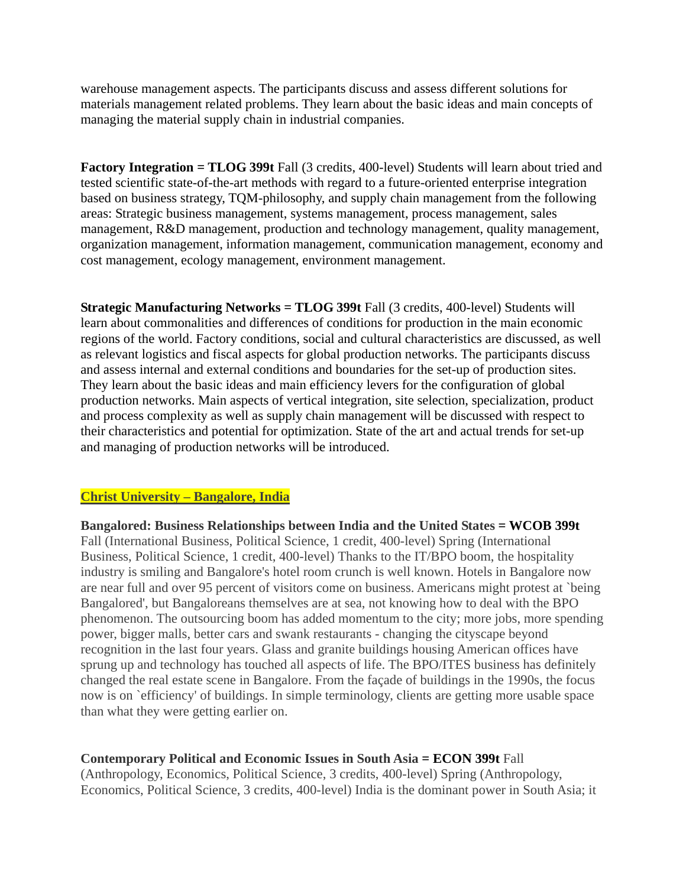warehouse management aspects. The participants discuss and assess different solutions for materials management related problems. They learn about the basic ideas and main concepts of managing the material supply chain in industrial companies.

**Factory Integration = TLOG 399t** Fall (3 credits, 400-level) Students will learn about tried and tested scientific state-of-the-art methods with regard to a future-oriented enterprise integration based on business strategy, TQM-philosophy, and supply chain management from the following areas: Strategic business management, systems management, process management, sales management, R&D management, production and technology management, quality management, organization management, information management, communication management, economy and cost management, ecology management, environment management.

**Strategic Manufacturing Networks = TLOG 399t** Fall (3 credits, 400-level) Students will learn about commonalities and differences of conditions for production in the main economic regions of the world. Factory conditions, social and cultural characteristics are discussed, as well as relevant logistics and fiscal aspects for global production networks. The participants discuss and assess internal and external conditions and boundaries for the set-up of production sites. They learn about the basic ideas and main efficiency levers for the configuration of global production networks. Main aspects of vertical integration, site selection, specialization, product and process complexity as well as supply chain management will be discussed with respect to their characteristics and potential for optimization. State of the art and actual trends for set-up and managing of production networks will be introduced.

### **Christ University – Bangalore, India**

**Bangalored: Business Relationships between India and the United States = WCOB 399t**  Fall (International Business, Political Science, 1 credit, 400-level) Spring (International Business, Political Science, 1 credit, 400-level) Thanks to the IT/BPO boom, the hospitality industry is smiling and Bangalore's hotel room crunch is well known. Hotels in Bangalore now are near full and over 95 percent of visitors come on business. Americans might protest at `being Bangalored', but Bangaloreans themselves are at sea, not knowing how to deal with the BPO phenomenon. The outsourcing boom has added momentum to the city; more jobs, more spending power, bigger malls, better cars and swank restaurants - changing the cityscape beyond recognition in the last four years. Glass and granite buildings housing American offices have sprung up and technology has touched all aspects of life. The BPO/ITES business has definitely changed the real estate scene in Bangalore. From the façade of buildings in the 1990s, the focus now is on `efficiency' of buildings. In simple terminology, clients are getting more usable space than what they were getting earlier on.

### **Contemporary Political and Economic Issues in South Asia = ECON 399t** Fall

(Anthropology, Economics, Political Science, 3 credits, 400-level) Spring (Anthropology, Economics, Political Science, 3 credits, 400-level) India is the dominant power in South Asia; it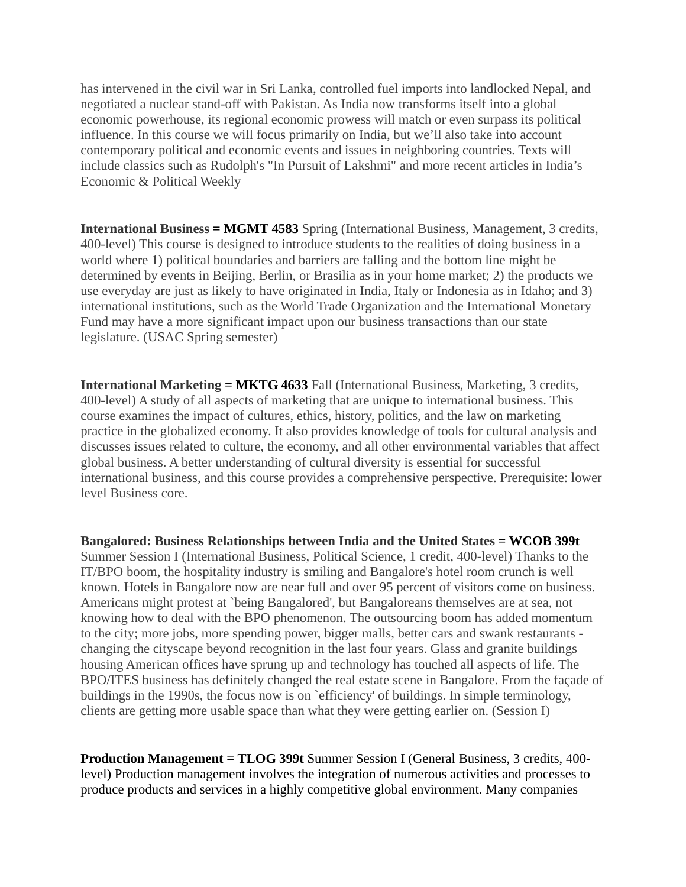has intervened in the civil war in Sri Lanka, controlled fuel imports into landlocked Nepal, and negotiated a nuclear stand-off with Pakistan. As India now transforms itself into a global economic powerhouse, its regional economic prowess will match or even surpass its political influence. In this course we will focus primarily on India, but we'll also take into account contemporary political and economic events and issues in neighboring countries. Texts will include classics such as Rudolph's "In Pursuit of Lakshmi" and more recent articles in India's Economic & Political Weekly

**International Business = MGMT 4583** Spring (International Business, Management, 3 credits, 400-level) This course is designed to introduce students to the realities of doing business in a world where 1) political boundaries and barriers are falling and the bottom line might be determined by events in Beijing, Berlin, or Brasilia as in your home market; 2) the products we use everyday are just as likely to have originated in India, Italy or Indonesia as in Idaho; and 3) international institutions, such as the World Trade Organization and the International Monetary Fund may have a more significant impact upon our business transactions than our state legislature. (USAC Spring semester)

**International Marketing = MKTG 4633** Fall (International Business, Marketing, 3 credits, 400-level) A study of all aspects of marketing that are unique to international business. This course examines the impact of cultures, ethics, history, politics, and the law on marketing practice in the globalized economy. It also provides knowledge of tools for cultural analysis and discusses issues related to culture, the economy, and all other environmental variables that affect global business. A better understanding of cultural diversity is essential for successful international business, and this course provides a comprehensive perspective. Prerequisite: lower level Business core.

**Bangalored: Business Relationships between India and the United States = WCOB 399t** Summer Session I (International Business, Political Science, 1 credit, 400-level) Thanks to the IT/BPO boom, the hospitality industry is smiling and Bangalore's hotel room crunch is well known. Hotels in Bangalore now are near full and over 95 percent of visitors come on business. Americans might protest at `being Bangalored', but Bangaloreans themselves are at sea, not knowing how to deal with the BPO phenomenon. The outsourcing boom has added momentum to the city; more jobs, more spending power, bigger malls, better cars and swank restaurants changing the cityscape beyond recognition in the last four years. Glass and granite buildings housing American offices have sprung up and technology has touched all aspects of life. The BPO/ITES business has definitely changed the real estate scene in Bangalore. From the façade of buildings in the 1990s, the focus now is on `efficiency' of buildings. In simple terminology, clients are getting more usable space than what they were getting earlier on. (Session I)

**Production Management = TLOG 399t** Summer Session I (General Business, 3 credits, 400 level) Production management involves the integration of numerous activities and processes to produce products and services in a highly competitive global environment. Many companies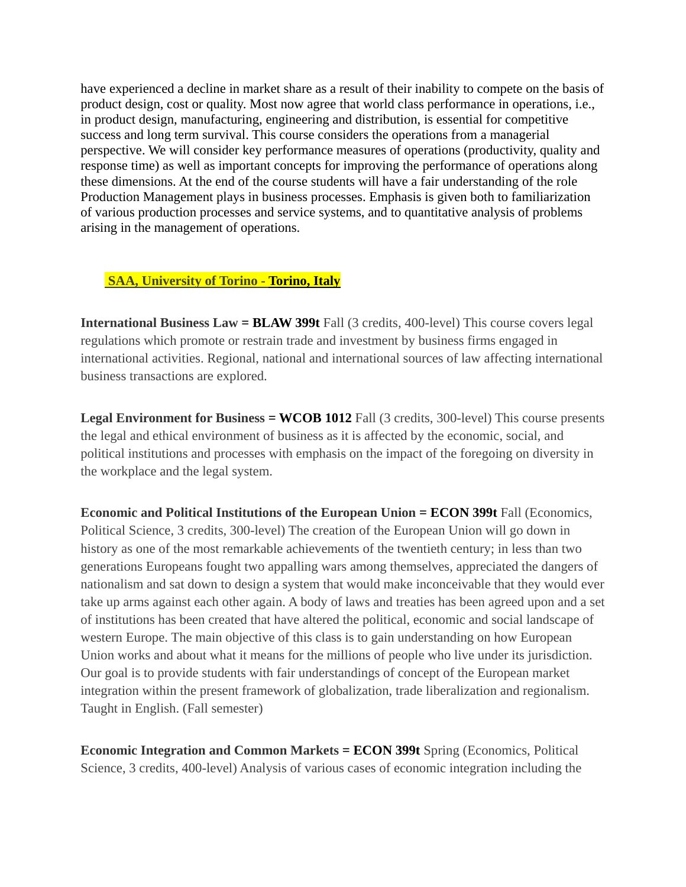have experienced a decline in market share as a result of their inability to compete on the basis of product design, cost or quality. Most now agree that world class performance in operations, i.e., in product design, manufacturing, engineering and distribution, is essential for competitive success and long term survival. This course considers the operations from a managerial perspective. We will consider key performance measures of operations (productivity, quality and response time) as well as important concepts for improving the performance of operations along these dimensions. At the end of the course students will have a fair understanding of the role Production Management plays in business processes. Emphasis is given both to familiarization of various production processes and service systems, and to quantitative analysis of problems arising in the management of operations.

### **SAA, University of Torino - Torino, Italy**

**International Business Law = BLAW 399t** Fall (3 credits, 400-level) This course covers legal regulations which promote or restrain trade and investment by business firms engaged in international activities. Regional, national and international sources of law affecting international business transactions are explored.

**Legal Environment for Business = WCOB 1012** Fall (3 credits, 300-level) This course presents the legal and ethical environment of business as it is affected by the economic, social, and political institutions and processes with emphasis on the impact of the foregoing on diversity in the workplace and the legal system.

**Economic and Political Institutions of the European Union = <b>ECON 399t** Fall (Economics, Political Science, 3 credits, 300-level) The creation of the European Union will go down in history as one of the most remarkable achievements of the twentieth century; in less than two generations Europeans fought two appalling wars among themselves, appreciated the dangers of nationalism and sat down to design a system that would make inconceivable that they would ever take up arms against each other again. A body of laws and treaties has been agreed upon and a set of institutions has been created that have altered the political, economic and social landscape of western Europe. The main objective of this class is to gain understanding on how European Union works and about what it means for the millions of people who live under its jurisdiction. Our goal is to provide students with fair understandings of concept of the European market integration within the present framework of globalization, trade liberalization and regionalism. Taught in English. (Fall semester)

**Economic Integration and Common Markets = ECON 399t** Spring (Economics, Political Science, 3 credits, 400-level) Analysis of various cases of economic integration including the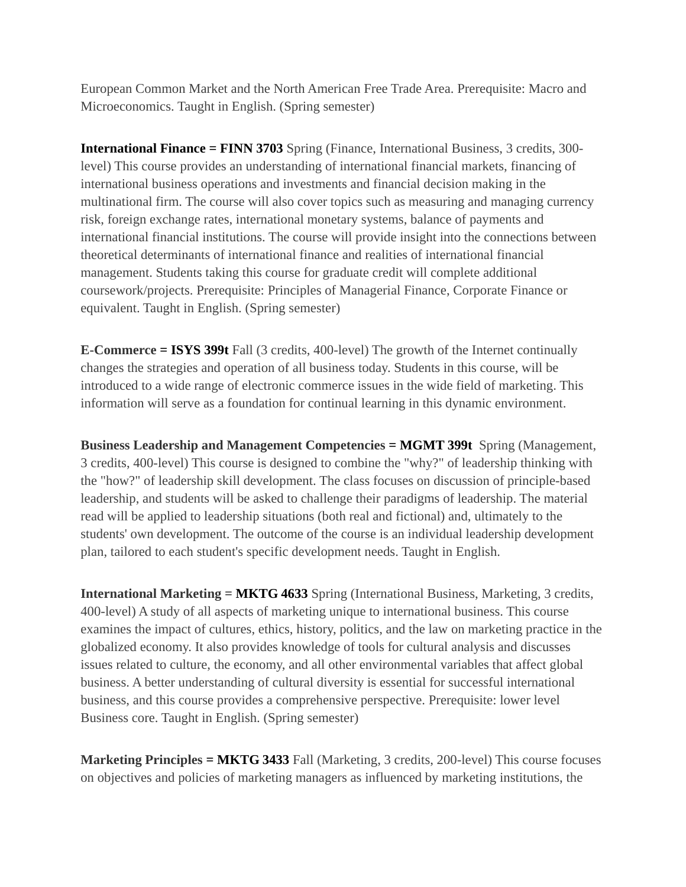European Common Market and the North American Free Trade Area. Prerequisite: Macro and Microeconomics. Taught in English. (Spring semester)

**International Finance = FINN 3703** Spring (Finance, International Business, 3 credits, 300level) This course provides an understanding of international financial markets, financing of international business operations and investments and financial decision making in the multinational firm. The course will also cover topics such as measuring and managing currency risk, foreign exchange rates, international monetary systems, balance of payments and international financial institutions. The course will provide insight into the connections between theoretical determinants of international finance and realities of international financial management. Students taking this course for graduate credit will complete additional coursework/projects. Prerequisite: Principles of Managerial Finance, Corporate Finance or equivalent. Taught in English. (Spring semester)

**E-Commerce = ISYS 399t** Fall (3 credits, 400-level) The growth of the Internet continually changes the strategies and operation of all business today. Students in this course, will be introduced to a wide range of electronic commerce issues in the wide field of marketing. This information will serve as a foundation for continual learning in this dynamic environment.

**Business Leadership and Management Competencies = MGMT 399t** Spring (Management, 3 credits, 400-level) This course is designed to combine the "why?" of leadership thinking with the "how?" of leadership skill development. The class focuses on discussion of principle-based leadership, and students will be asked to challenge their paradigms of leadership. The material read will be applied to leadership situations (both real and fictional) and, ultimately to the students' own development. The outcome of the course is an individual leadership development plan, tailored to each student's specific development needs. Taught in English.

**International Marketing = MKTG 4633** Spring (International Business, Marketing, 3 credits, 400-level) A study of all aspects of marketing unique to international business. This course examines the impact of cultures, ethics, history, politics, and the law on marketing practice in the globalized economy. It also provides knowledge of tools for cultural analysis and discusses issues related to culture, the economy, and all other environmental variables that affect global business. A better understanding of cultural diversity is essential for successful international business, and this course provides a comprehensive perspective. Prerequisite: lower level Business core. Taught in English. (Spring semester)

**Marketing Principles = MKTG 3433** Fall (Marketing, 3 credits, 200-level) This course focuses on objectives and policies of marketing managers as influenced by marketing institutions, the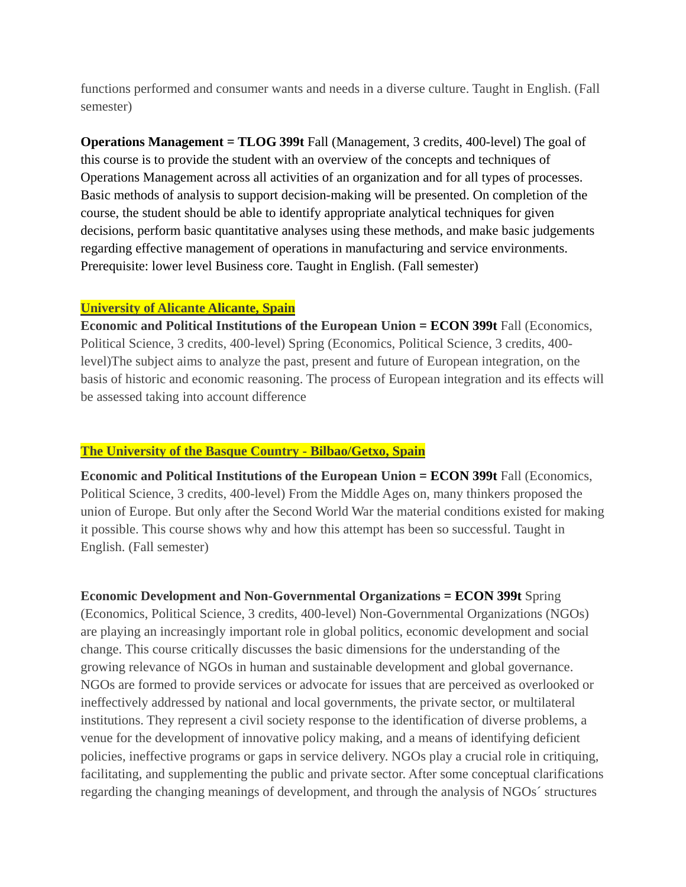functions performed and consumer wants and needs in a diverse culture. Taught in English. (Fall semester)

**Operations Management = TLOG 399t** Fall (Management, 3 credits, 400-level) The goal of this course is to provide the student with an overview of the concepts and techniques of Operations Management across all activities of an organization and for all types of processes. Basic methods of analysis to support decision-making will be presented. On completion of the course, the student should be able to identify appropriate analytical techniques for given decisions, perform basic quantitative analyses using these methods, and make basic judgements regarding effective management of operations in manufacturing and service environments. Prerequisite: lower level Business core. Taught in English. (Fall semester)

### **University of Alicante Alicante, Spain**

**Economic and Political Institutions of the European Union = ECON 399t** Fall (Economics, Political Science, 3 credits, 400-level) Spring (Economics, Political Science, 3 credits, 400 level)The subject aims to analyze the past, present and future of European integration, on the basis of historic and economic reasoning. The process of European integration and its effects will be assessed taking into account difference

### **The University of the Basque Country - Bilbao/Getxo, Spain**

**Economic and Political Institutions of the European Union = <b>ECON 399t** Fall (Economics, Political Science, 3 credits, 400-level) From the Middle Ages on, many thinkers proposed the union of Europe. But only after the Second World War the material conditions existed for making it possible. This course shows why and how this attempt has been so successful. Taught in English. (Fall semester)

**Economic Development and Non-Governmental Organizations = ECON 399t** Spring (Economics, Political Science, 3 credits, 400-level) Non-Governmental Organizations (NGOs) are playing an increasingly important role in global politics, economic development and social change. This course critically discusses the basic dimensions for the understanding of the growing relevance of NGOs in human and sustainable development and global governance. NGOs are formed to provide services or advocate for issues that are perceived as overlooked or ineffectively addressed by national and local governments, the private sector, or multilateral institutions. They represent a civil society response to the identification of diverse problems, a venue for the development of innovative policy making, and a means of identifying deficient policies, ineffective programs or gaps in service delivery. NGOs play a crucial role in critiquing, facilitating, and supplementing the public and private sector. After some conceptual clarifications regarding the changing meanings of development, and through the analysis of NGOs´ structures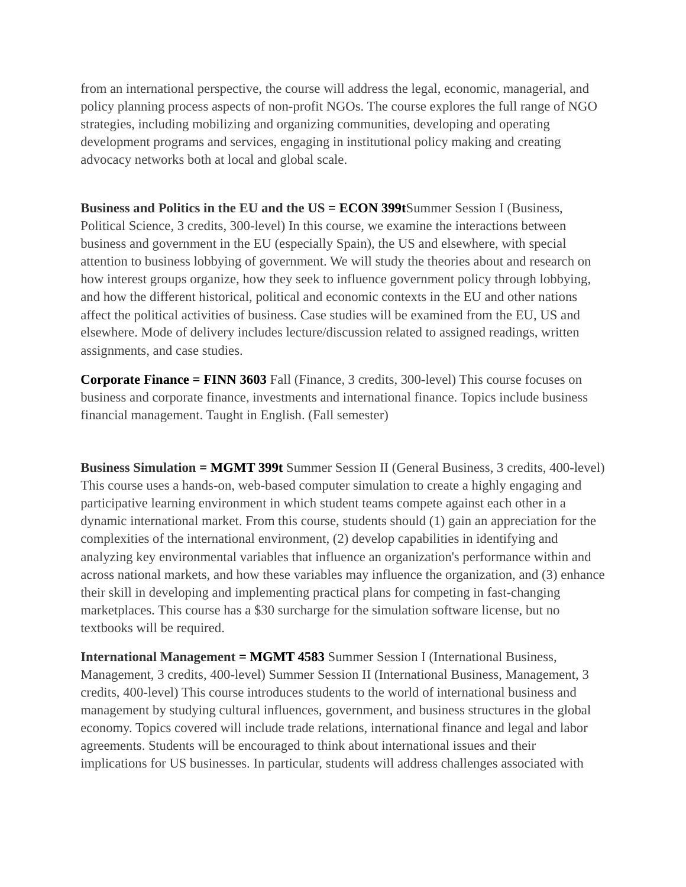from an international perspective, the course will address the legal, economic, managerial, and policy planning process aspects of non-profit NGOs. The course explores the full range of NGO strategies, including mobilizing and organizing communities, developing and operating development programs and services, engaging in institutional policy making and creating advocacy networks both at local and global scale.

**Business and Politics in the EU and the US = ECON 399t**Summer Session I (Business, Political Science, 3 credits, 300-level) In this course, we examine the interactions between business and government in the EU (especially Spain), the US and elsewhere, with special attention to business lobbying of government. We will study the theories about and research on how interest groups organize, how they seek to influence government policy through lobbying, and how the different historical, political and economic contexts in the EU and other nations affect the political activities of business. Case studies will be examined from the EU, US and elsewhere. Mode of delivery includes lecture/discussion related to assigned readings, written assignments, and case studies.

**Corporate Finance = FINN 3603** Fall (Finance, 3 credits, 300-level) This course focuses on business and corporate finance, investments and international finance. Topics include business financial management. Taught in English. (Fall semester)

**Business Simulation = MGMT 399t** Summer Session II (General Business, 3 credits, 400-level) This course uses a hands-on, web-based computer simulation to create a highly engaging and participative learning environment in which student teams compete against each other in a dynamic international market. From this course, students should (1) gain an appreciation for the complexities of the international environment, (2) develop capabilities in identifying and analyzing key environmental variables that influence an organization's performance within and across national markets, and how these variables may influence the organization, and (3) enhance their skill in developing and implementing practical plans for competing in fast-changing marketplaces. This course has a \$30 surcharge for the simulation software license, but no textbooks will be required.

**International Management = MGMT 4583** Summer Session I (International Business, Management, 3 credits, 400-level) Summer Session II (International Business, Management, 3 credits, 400-level) This course introduces students to the world of international business and management by studying cultural influences, government, and business structures in the global economy. Topics covered will include trade relations, international finance and legal and labor agreements. Students will be encouraged to think about international issues and their implications for US businesses. In particular, students will address challenges associated with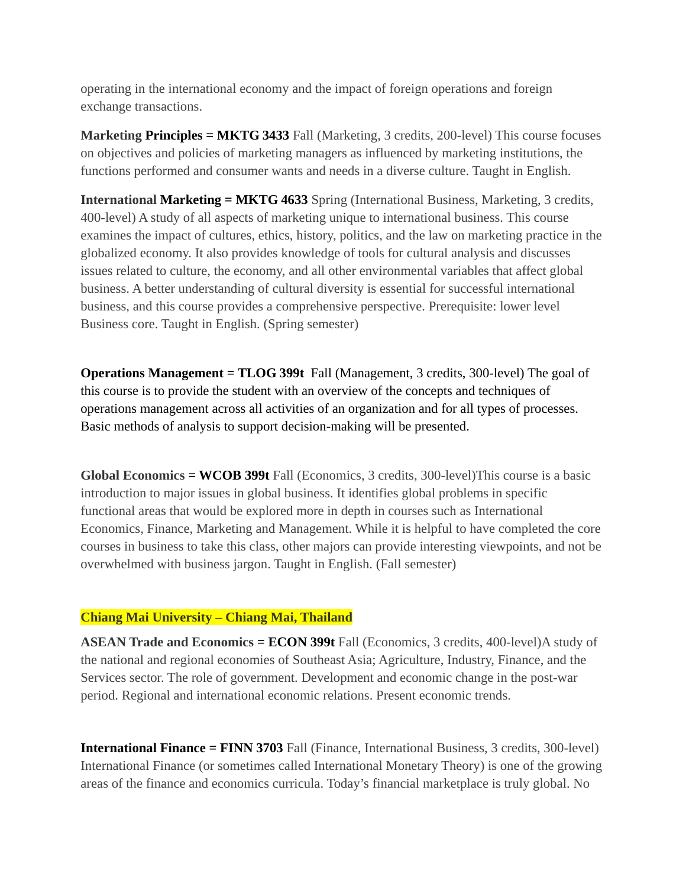operating in the international economy and the impact of foreign operations and foreign exchange transactions.

**Marketing Principles = MKTG 3433** Fall (Marketing, 3 credits, 200-level) This course focuses on objectives and policies of marketing managers as influenced by marketing institutions, the functions performed and consumer wants and needs in a diverse culture. Taught in English.

**International Marketing = MKTG 4633** Spring (International Business, Marketing, 3 credits, 400-level) A study of all aspects of marketing unique to international business. This course examines the impact of cultures, ethics, history, politics, and the law on marketing practice in the globalized economy. It also provides knowledge of tools for cultural analysis and discusses issues related to culture, the economy, and all other environmental variables that affect global business. A better understanding of cultural diversity is essential for successful international business, and this course provides a comprehensive perspective. Prerequisite: lower level Business core. Taught in English. (Spring semester)

**Operations Management = TLOG 399t** Fall (Management, 3 credits, 300-level) The goal of this course is to provide the student with an overview of the concepts and techniques of operations management across all activities of an organization and for all types of processes. Basic methods of analysis to support decision-making will be presented.

**Global Economics = WCOB 399t** Fall (Economics, 3 credits, 300-level)This course is a basic introduction to major issues in global business. It identifies global problems in specific functional areas that would be explored more in depth in courses such as International Economics, Finance, Marketing and Management. While it is helpful to have completed the core courses in business to take this class, other majors can provide interesting viewpoints, and not be overwhelmed with business jargon. Taught in English. (Fall semester)

### **Chiang Mai University – Chiang Mai, Thailand**

**ASEAN Trade and Economics = ECON 399t** Fall (Economics, 3 credits, 400-level)A study of the national and regional economies of Southeast Asia; Agriculture, Industry, Finance, and the Services sector. The role of government. Development and economic change in the post-war period. Regional and international economic relations. Present economic trends.

**International Finance = FINN 3703** Fall (Finance, International Business, 3 credits, 300-level) International Finance (or sometimes called International Monetary Theory) is one of the growing areas of the finance and economics curricula. Today's financial marketplace is truly global. No